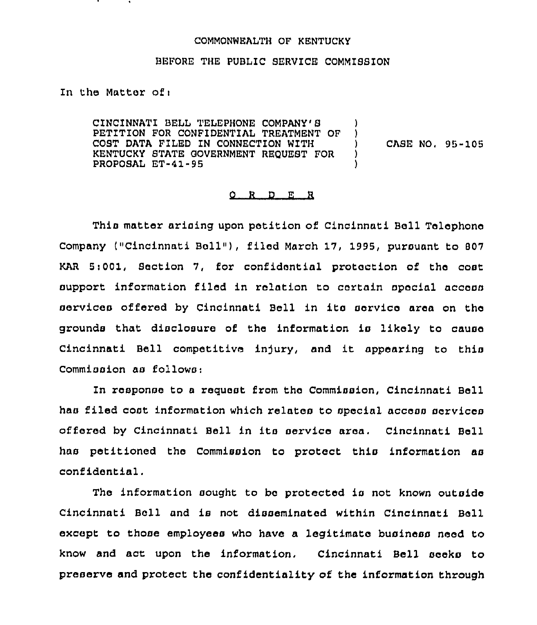## COMMONWEALTH OF KENTUCKY

## BEFORE THE PUBLIC SERVICE COMMISSION

In the Matter of <sup>i</sup>

CINCINNATI BELL TELEPHONE COMPANY'S PETITION FOR CONFIDENTIAL TREATMENT OF ) COST DATA FILED IN CONNECTION WITH (1)<br>
KENTUCKY STATE GOVERNMENT REQUEST FOR (1) KENTUCKY STATE GOVERNMENT REQUEST FOR ) PROPOSAL ET-41-95 )

CASE NO, 95-105

## 0 R <sup>D</sup> E R

This matter arising upon petition of Cincinnati Bell Telephone Company ("Cincinnati Bell"), filed March 17, 1995, pursuant to 807 KAR 5:001, Section 7, for confidential protection of the cost support information filed in relation to certain special access services offered by Cincinnati Bell in its servico area on the grounds that disclosure of the information is likely to cause Cincinnati Bell competitive injury, and it appearing to this Commission as follows:

In response to a request from the Commission, Cincinnati Bell has filed cost information which relates to special access services offered by Cincinnati Bell in its service area. Cincinnati Bell has petitioned the Commission to protect this information as confidential.

The information sought to be protected is not known outside Cincinnati Bell and is not disseminated within Cincinnati Bell except to those employees who have a legitimate business need to know and act upon the information. Cincinnati Bell seeks to preserve and protect the confidentiality of the information through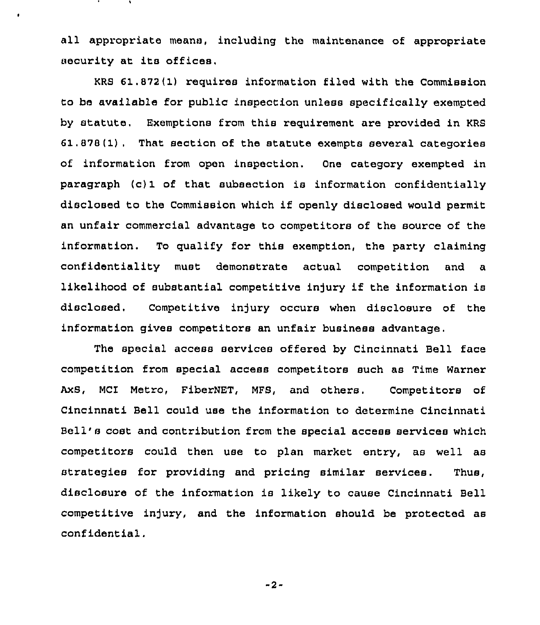all appropriate means, including the maintenance of appropriate security at its offices,

KRS 61.872(1) requires information filed with the Commission to be available for public inspection unless specifically exempted by statute. Exemptions from this requirement are provided in KRS 61 . 878(1) . That section of the statute exempts several categories of information from open inspection. One category exempted in paragraph (c) 1 of that subsection is information confidentially disclosed to the Commission which if openly disclosed would permit an unfair commercial advantage to competitors of the source of the information. To qualify for this exemption, the party claiming confidentiality must demonstrate actual competition and a likelihood of substantial competitive injury if the information is disclosed, Competitive injury occurs when disclosure of the information gives competitors an unfair business advantage.

The special access services offered by Cincinnati Bell face competition from special access competitors such as Time Warner AxS, MCI Metro, FiberNET, MFS, and others. Competitors of Cincinnati Bell could use the information to determine Cincinnati Bell's cost and contribution from the special access services which competitors could then use to plan market entry, as well as strategies for providing and pricing similar services. Thus, disclosure of the information is likely to cause Cincinnati Bell competitive injury, and the information should be protected as confidential.

-2-